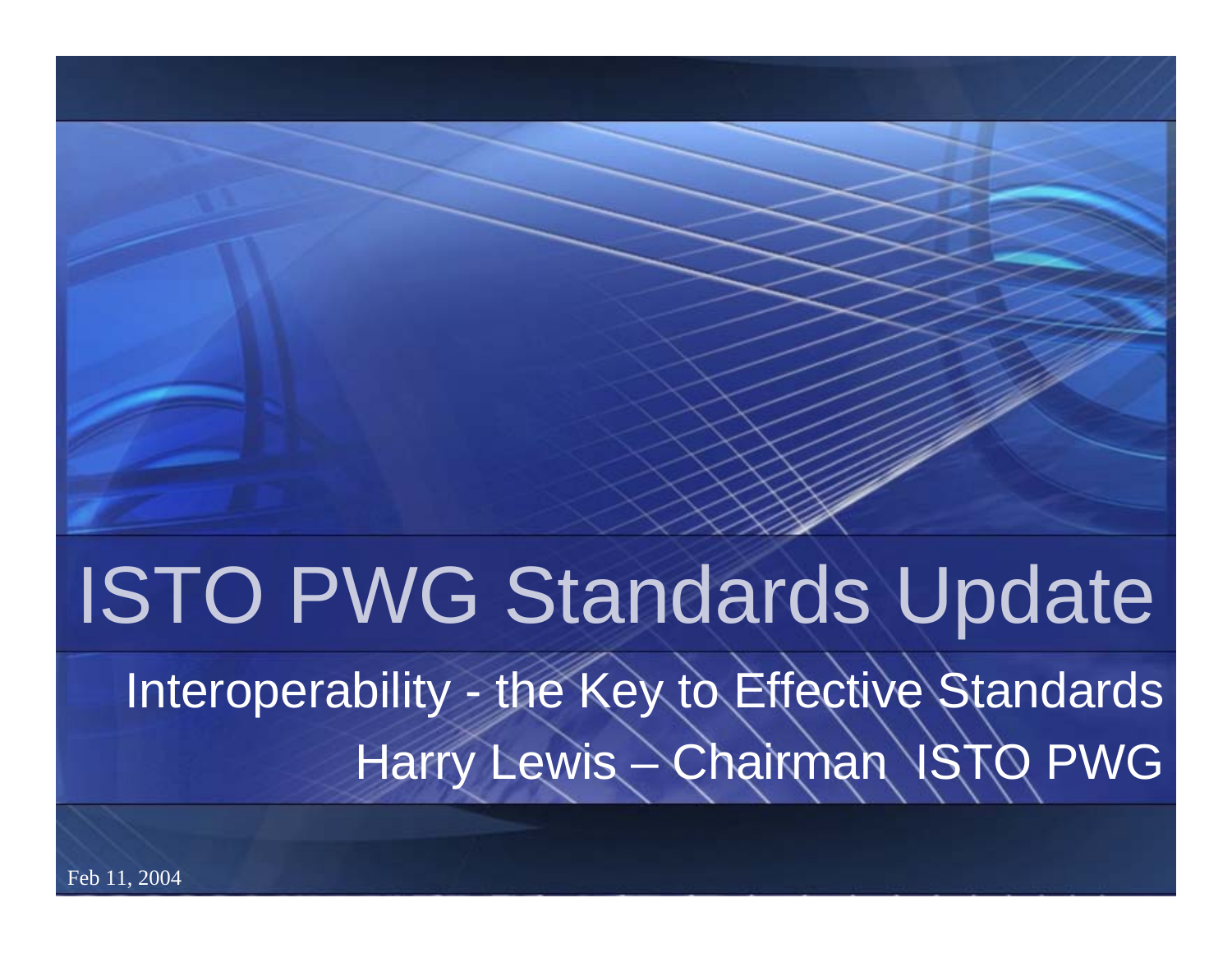# ISTO PWG Standards Update Interoperability - the Key to Effective Standards Harry Lewis – Chairman ISTO PWG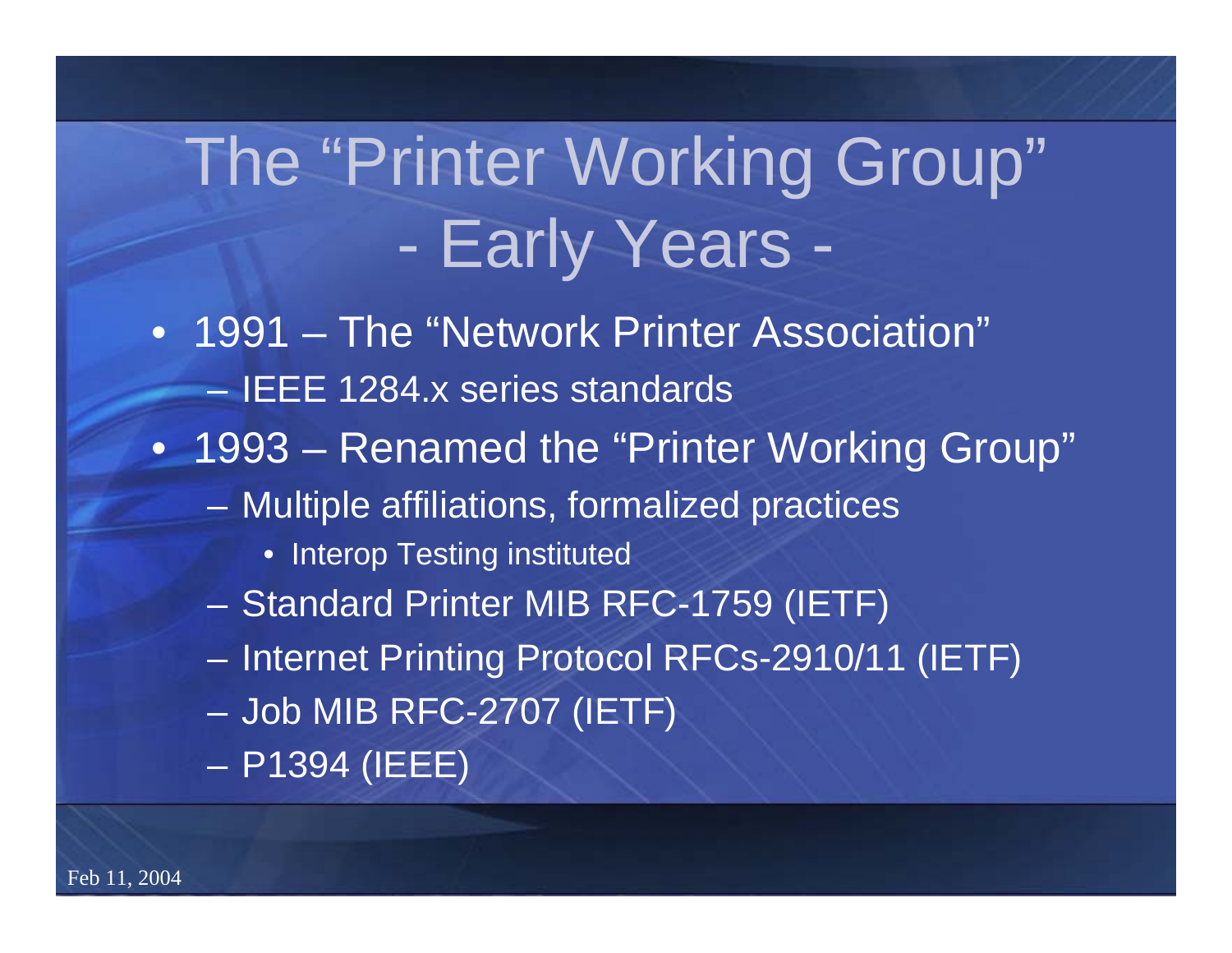## The "Printer Working Group" Early Years -

- 1991 The "Network Printer Association" – IEEE 1284.x series standards
- 1993 Renamed the "Printer Working Group"
	- – Multiple affiliations, formalized practices
		- Interop Testing instituted
	- Standard Printer MIB RFC-1759 (IETF)
	- Internet Printing Protocol RFCs-2910/11 (IETF)
	- Job MIB RFC-2707 (IETF)
	- P1394 (IEEE)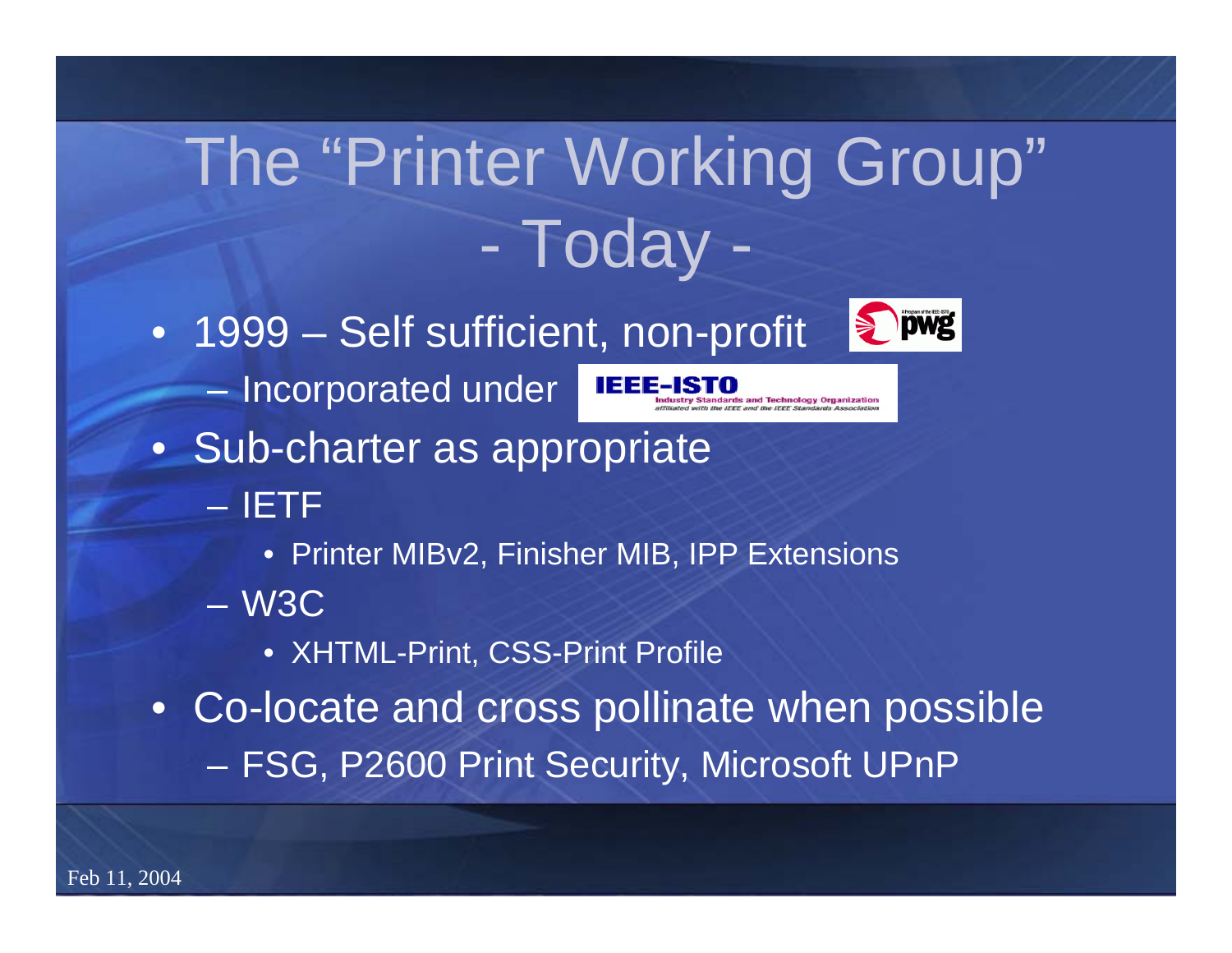## The "Printer Working Group" Today -

**IEEE-ISTO** 

• 1999 – Self sufficient, non-profit



and Technology Organization

- –- Incorporated under
- Sub-charter as appropriate
	- IETF
		- Printer MIBv2, Finisher MIB, IPP Extensions
	- W3C
		- XHTML-Print, CSS-Print Profile
- Co-locate and cross pollinate when possible FSG, P2600 Print Security, Microsoft UPnP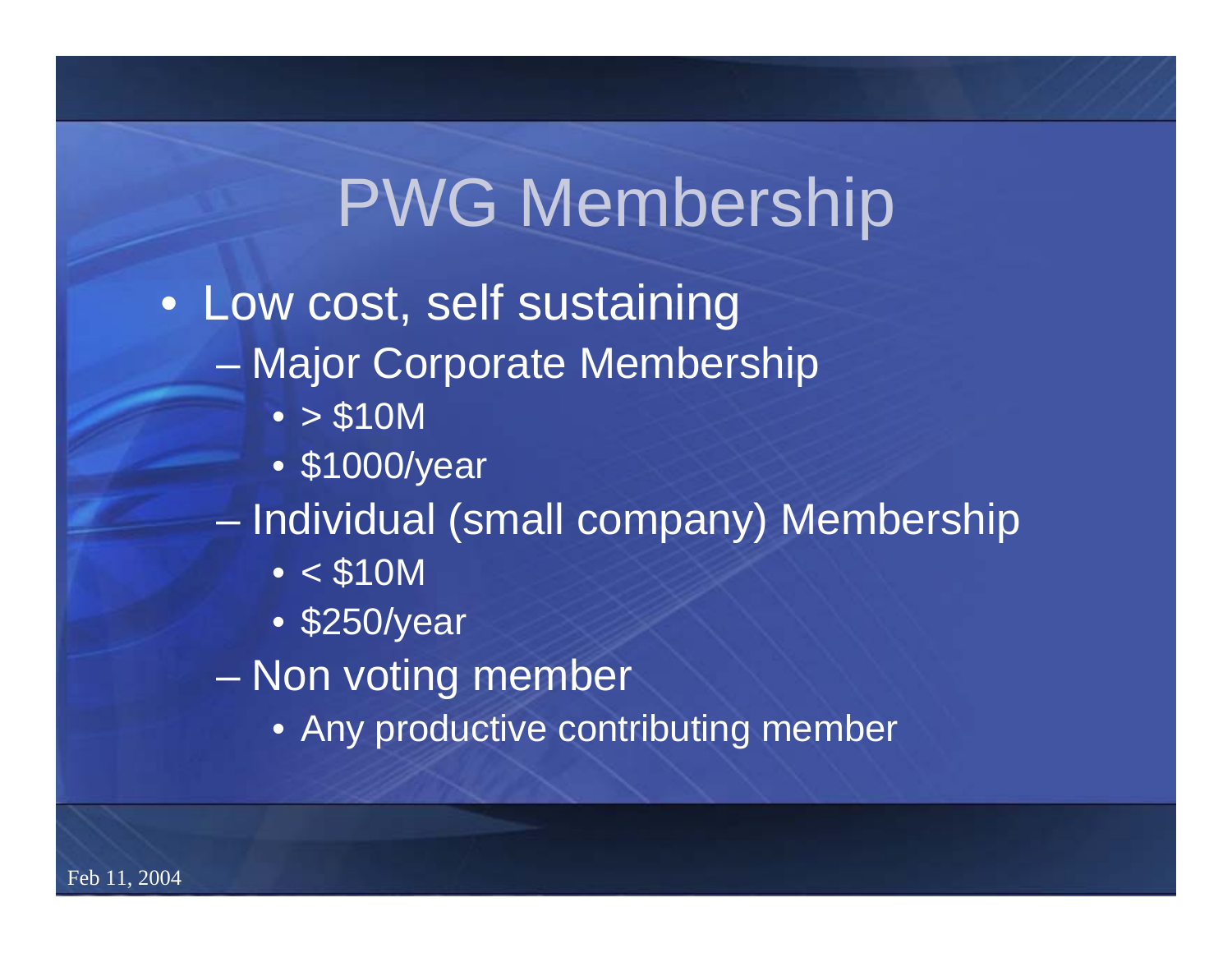### PWG Membership

- Low cost, self sustaining
	- Major Corporate Membership
		- > \$10M
		- \$1000/year
	- Individual (small company) Membership
		- < \$10M
		- \$250/year
	- –– Non voting member
		- Any productive contributing member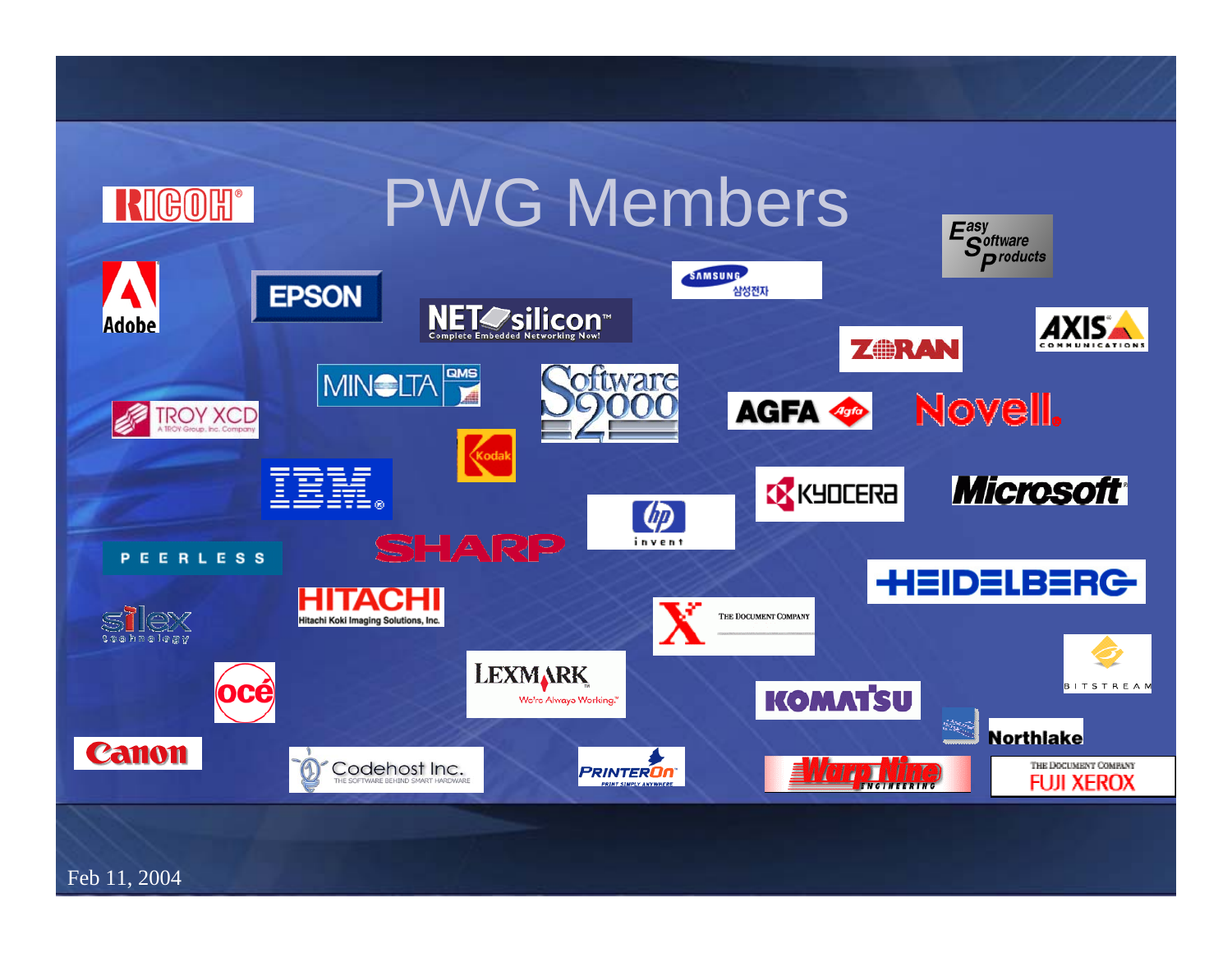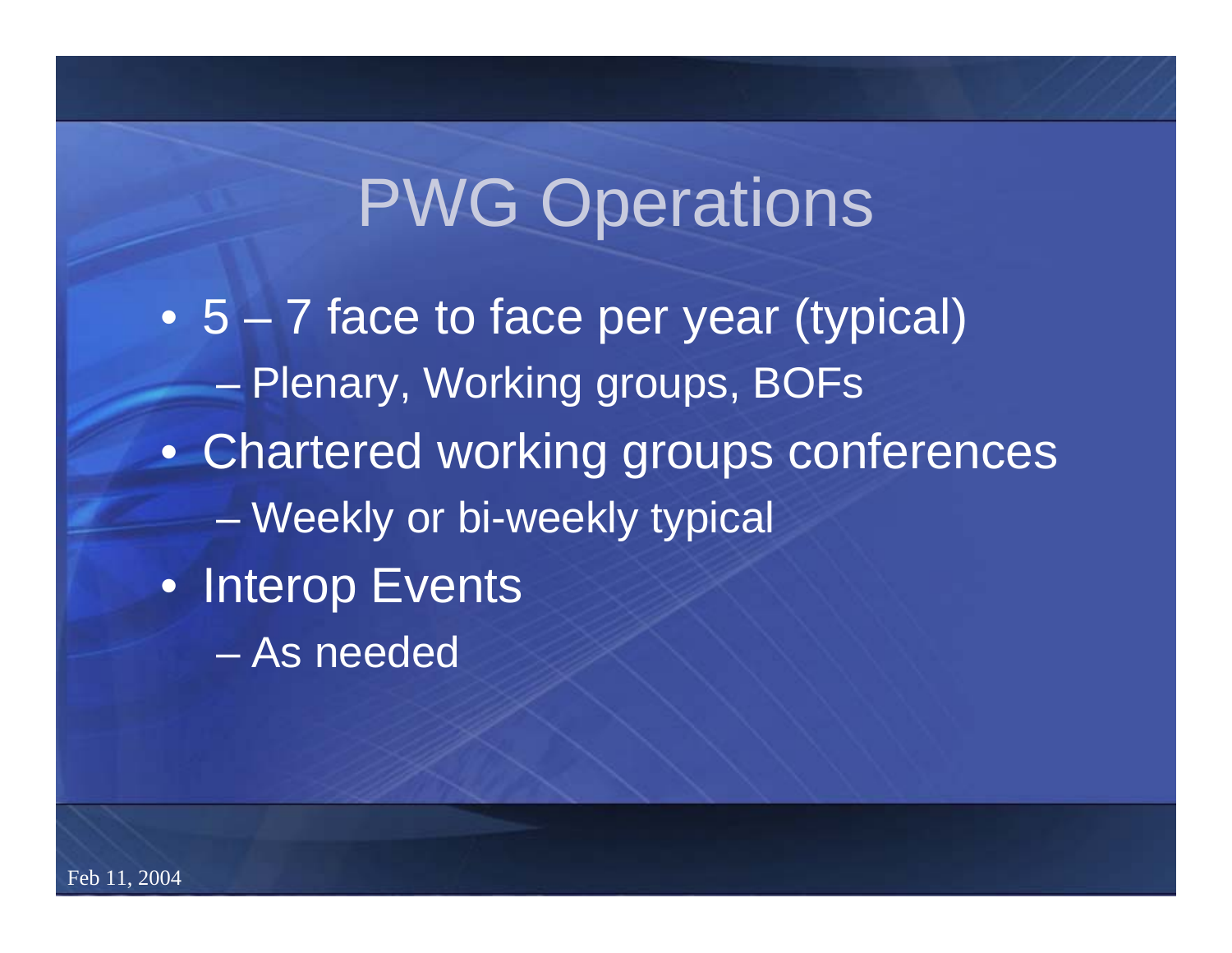### PWG Operations

• 5 – 7 face to face per year (typical) – Plenary, Working groups, BOFs • Chartered working groups conferences en al control de la control de Weekly or bi-weekly typical • Interop Events – As needed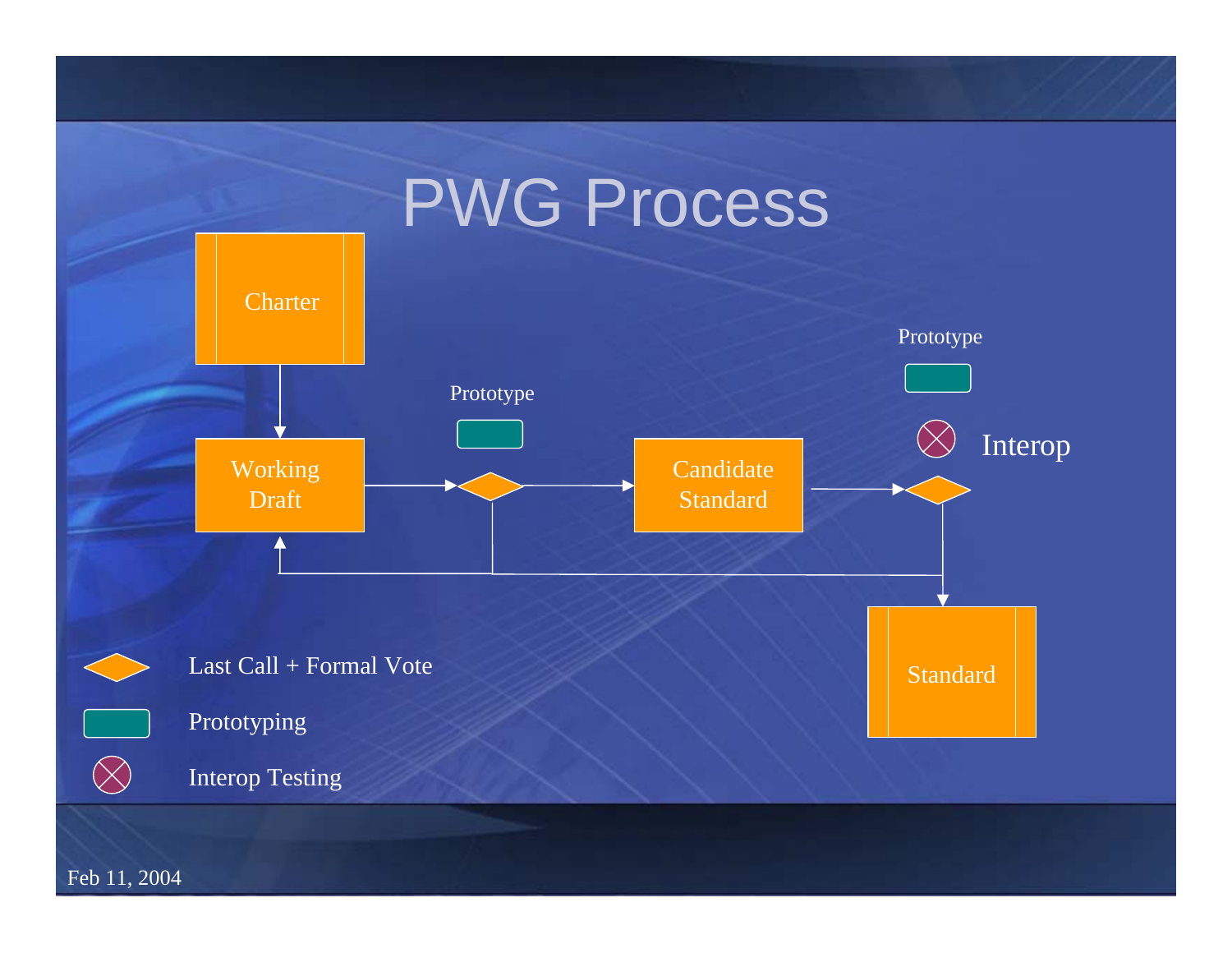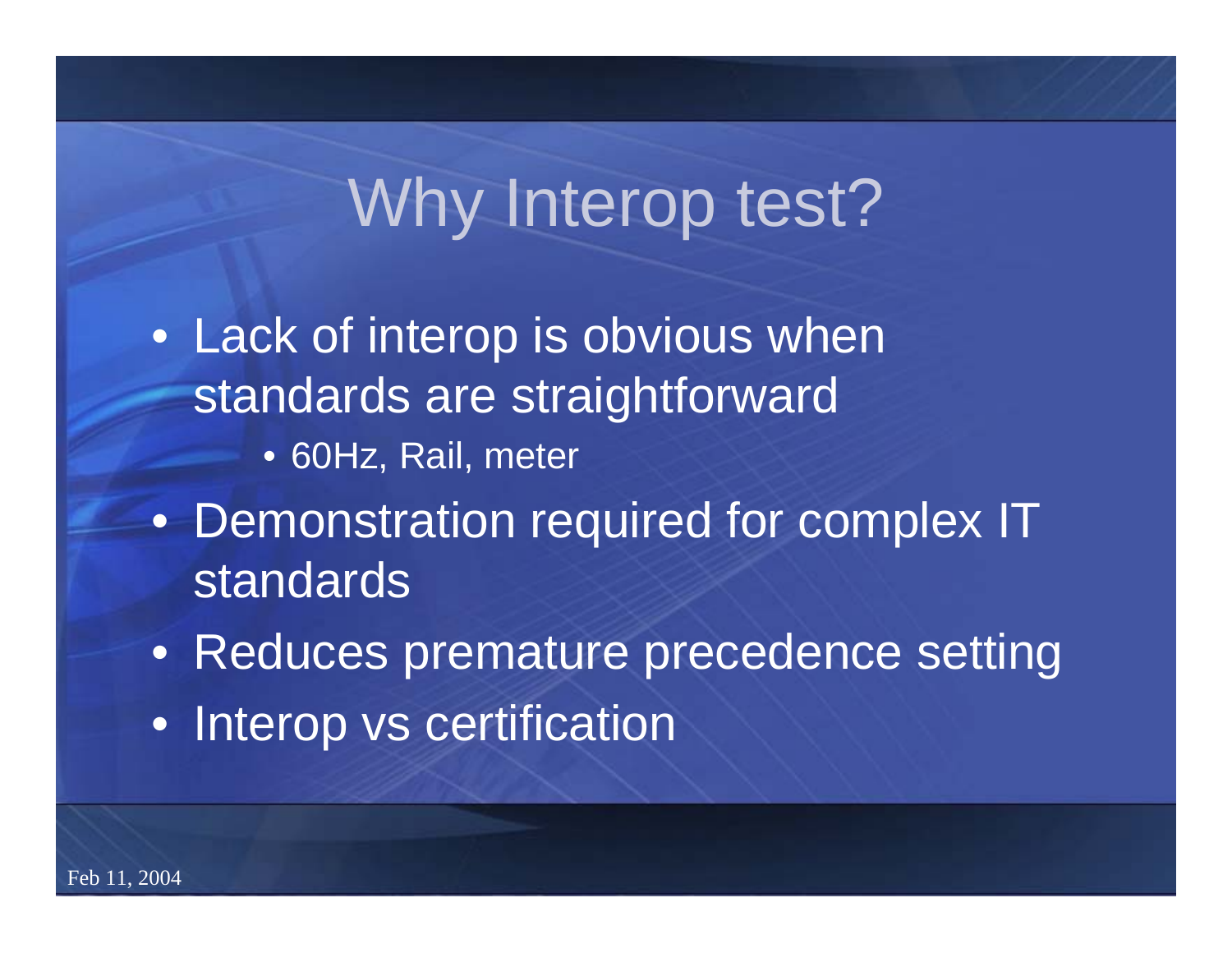### Why Interop test?

- Lack of interop is obvious when standards are straightforward • 60Hz, Rail, meter
- Demonstration required for complex IT standards
- Reduces premature precedence setting
- Interop vs certification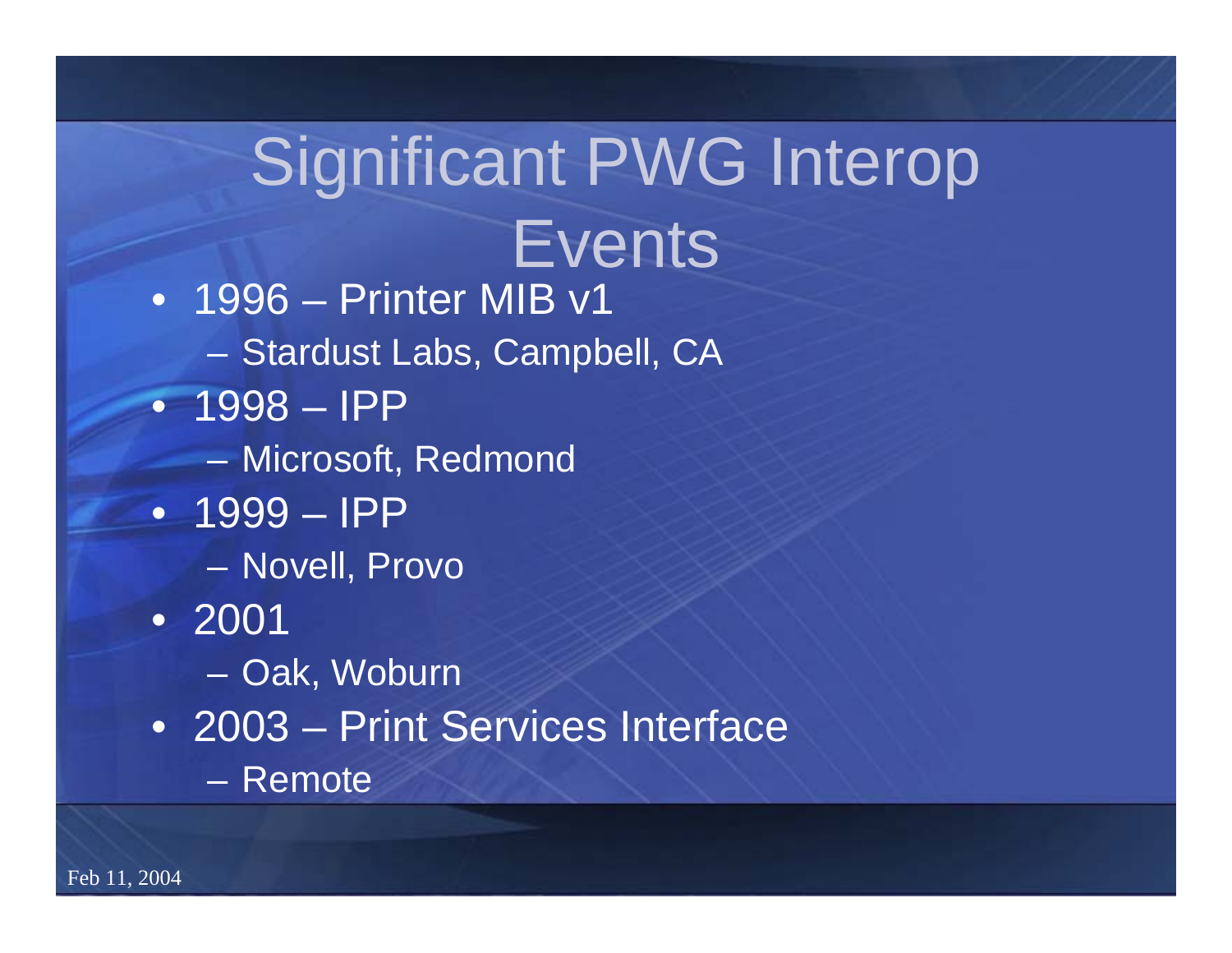### Significant PWG Interop **Events** • 1996 – Printer MIB v1

- Stardust Labs, Campbell, CA
- 1998 IPP
	- Microsoft, Redmond
- 1999 IPP
	- Novell, Provo
- 2001
	- –Oak, Woburn
- 2003 Print Services Interface
	- Remote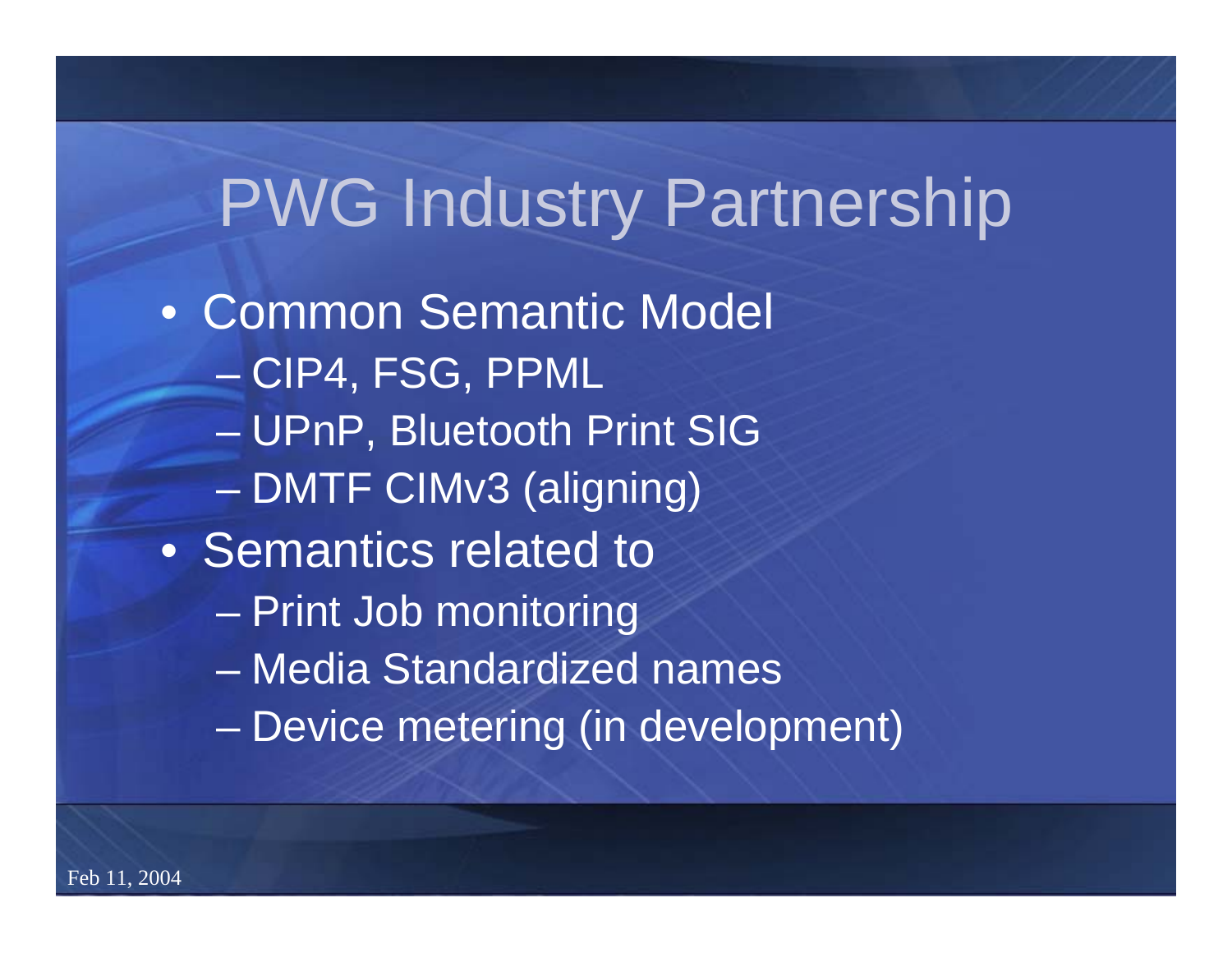### PWG Industry Partnership

- Common Semantic Model CIP4, FSG, PPML
	- –UPnP, Bluetooth Print SIG
	- en al control de la control de – DMTF CIMv3 (aligning)
- Semantics related to
	- en al control de la control de — Print Job monitoring
	- Media Standardized names
	- –Device metering (in development)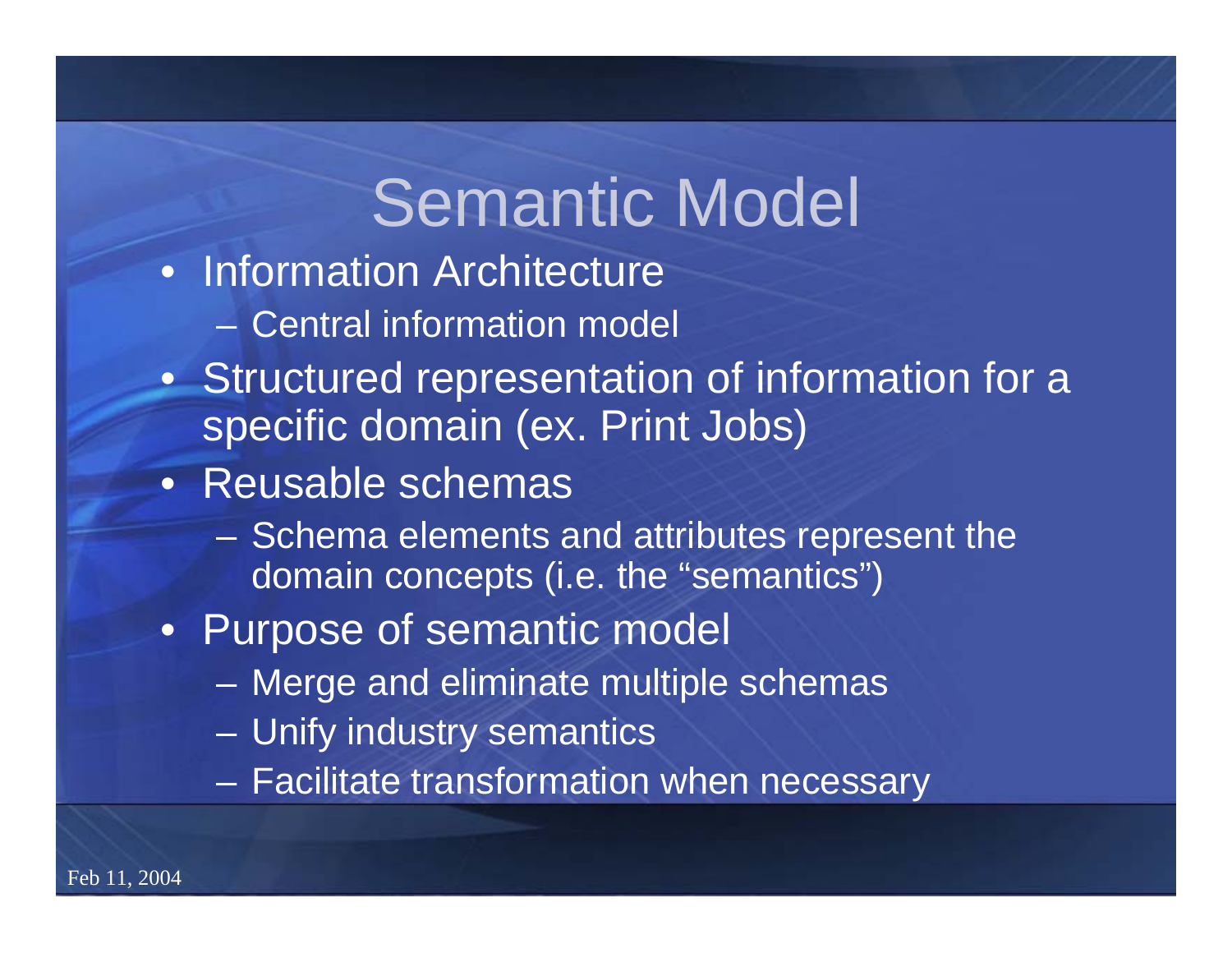### Semantic Model

- Information Architecture
	- Central information model
- Structured representation of information for a specific domain (ex. Print Jobs)
- Reusable schemas
	- $-$  Schema elements and attributes represent the domain concepts (i.e. the "semantics")
- Purpose of semantic model
	- Merge and eliminate multiple schemas
	- –Unify industry semantics
	- –Facilitate transformation when necessary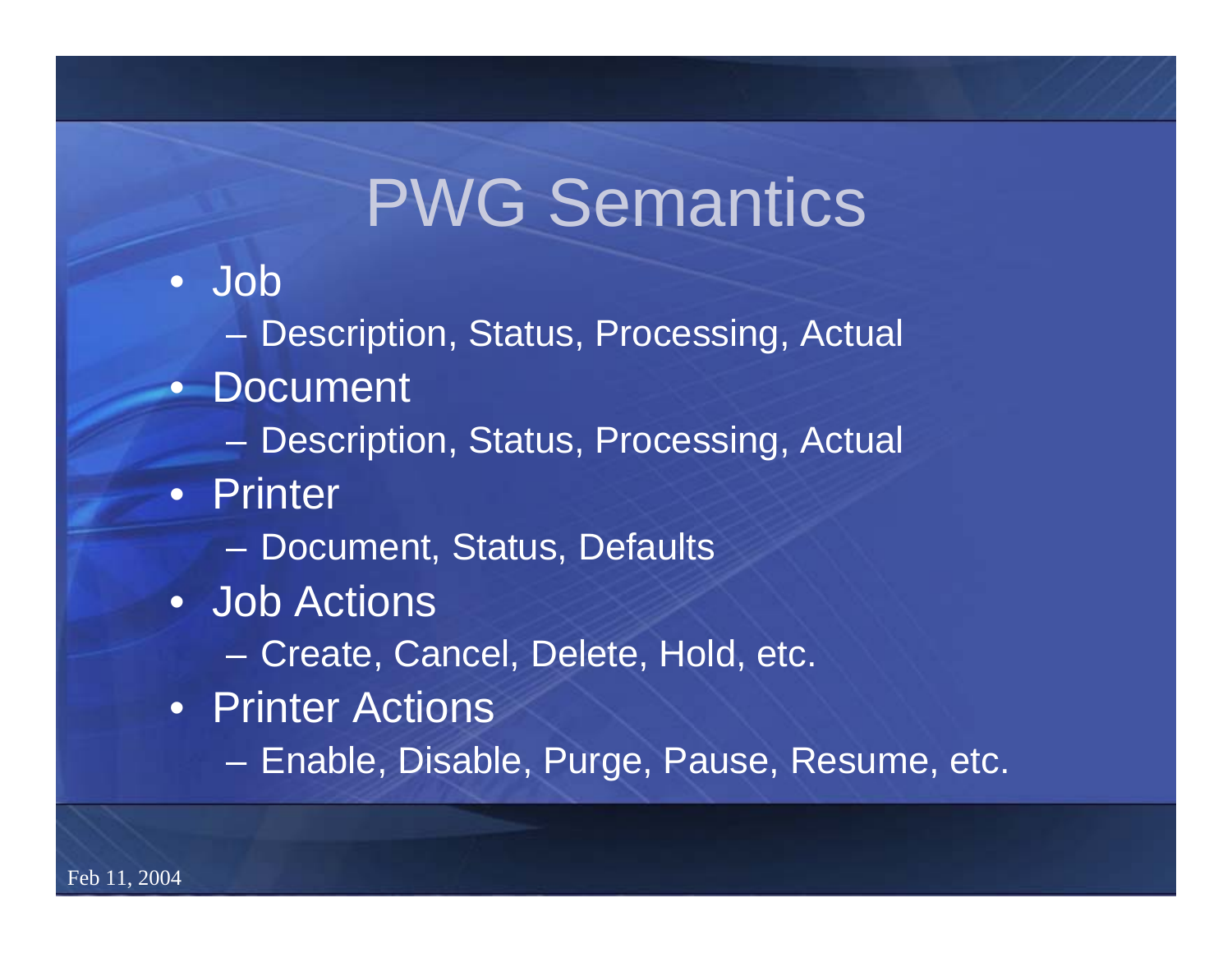### PWG Semantics

#### • Job

Description, Status, Processing, Actual

#### • Document

- Description, Status, Processing, Actual
- Printer
	- Document, Status, Defaults
- Job Actions
	- –– Create, Cancel, Delete, Hold, etc.
- Printer Actions
	- Enable, Disable, Purge, Pause, Resume, etc.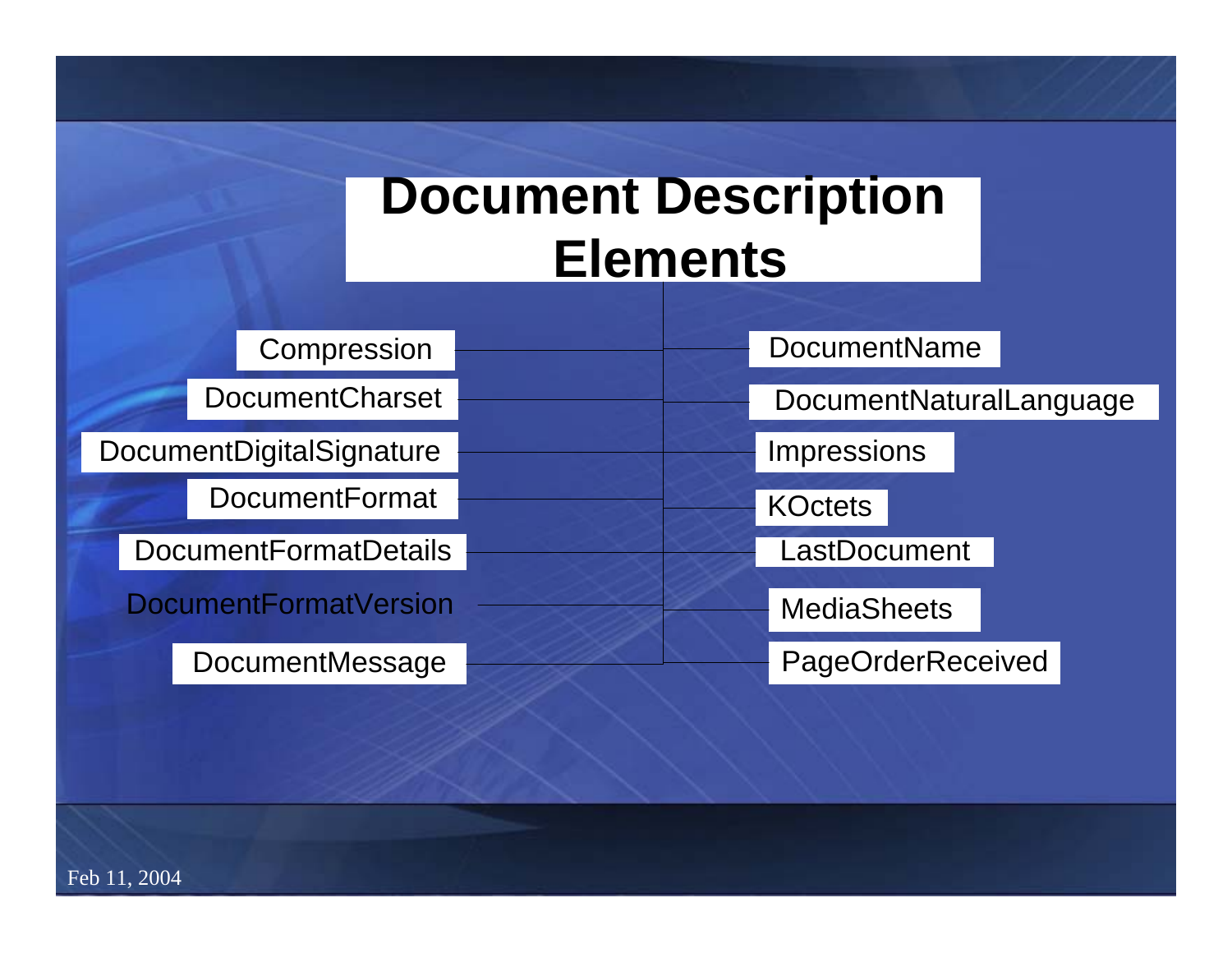### **Document Description Elements**

Compression

DocumentCharset

DocumentDigitalSignature

DocumentFormat

DocumentFormatDetails

DocumentFormatVersion

DocumentMessage

DocumentName

DocumentNaturalLanguage

Impressions

**KOctets** 

**LastDocument** 

**MediaSheets** 

PageOrderReceived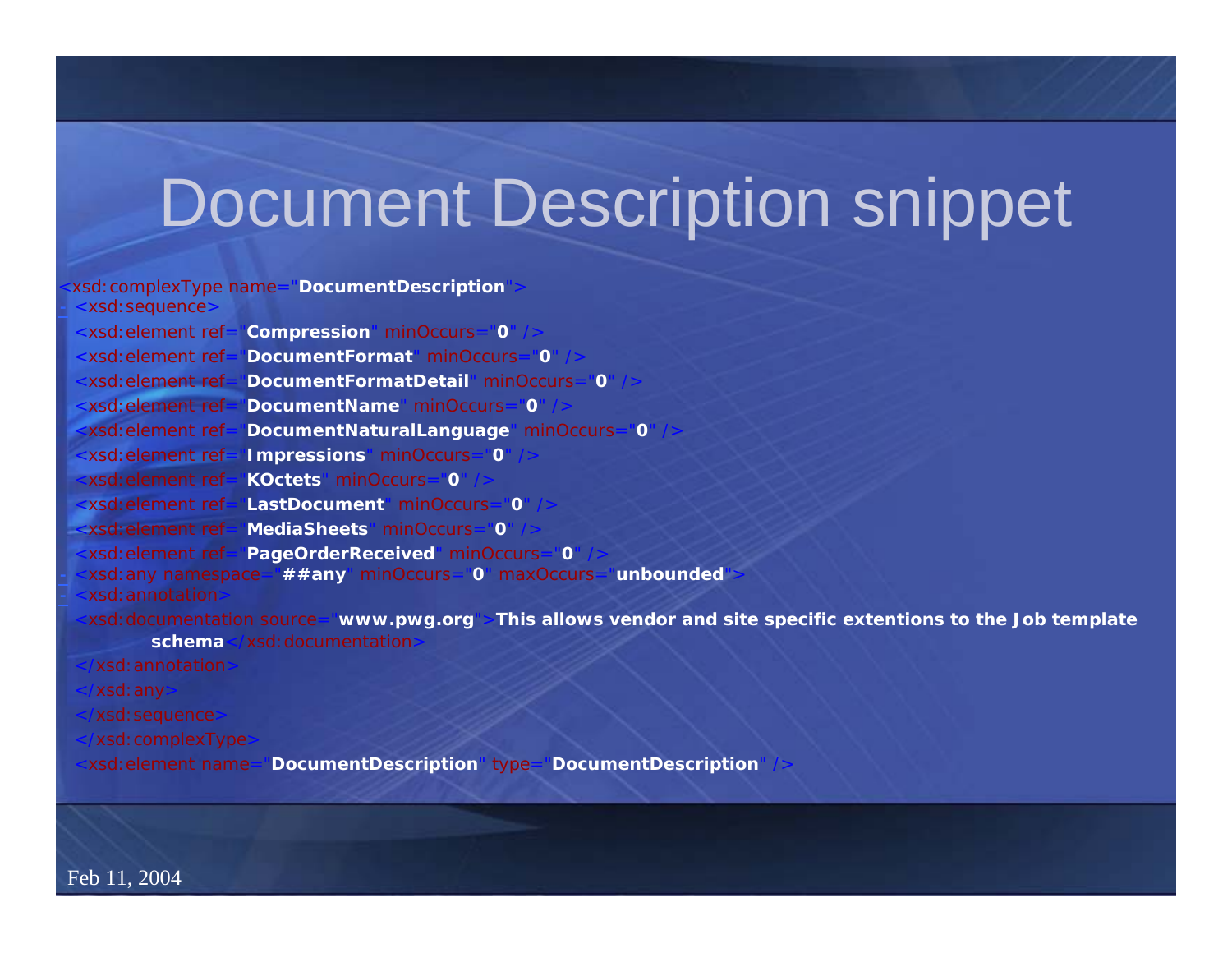### Document Description snippet

<xsd:complexType name="**DocumentDescription**">

| xsd:sequence>                                                                                               | Abd. Complex righter <b>BoodmentBeson priori</b>      |
|-------------------------------------------------------------------------------------------------------------|-------------------------------------------------------|
| xsd:element ref='                                                                                           | "Compression" minOccurs="0"                           |
|                                                                                                             | xsd: element ref="DocumentFormat" minOccurs="0"       |
|                                                                                                             | xsd: element ref="DocumentFormatDetail" minOccurs="0" |
|                                                                                                             | xsd: element ref="DocumentName" minOccurs="0"         |
|                                                                                                             |                                                       |
| xsd: element ref='                                                                                          | "DocumentNaturalLanguage" minOccurs="0"               |
|                                                                                                             | xsd: element ref="Impressions" minOccurs="0"          |
|                                                                                                             | xsd: element ref="KOctets" minOccurs="0"              |
|                                                                                                             | xsd: element ref="LastDocument" minOccurs="0>         |
|                                                                                                             | kxsd: element ref= MediaSheets" minOccurs="0          |
|                                                                                                             | xsd: element ref="PageOrderReceived" minOccurs="0"    |
| xsd: any namespace="##any" minOccurs="0" maxOccurs="unbounded"                                              |                                                       |
| xsd: annotation:                                                                                            |                                                       |
| xsd: documentation source="www.pwg.org">This allows vendor and site specific extentions to the Job template |                                                       |
| schema                                                                                                      |                                                       |
| xsd: annotation:                                                                                            |                                                       |
| xsd: any                                                                                                    |                                                       |
| xsd: sequence                                                                                               |                                                       |
| xsd: complexType:                                                                                           |                                                       |
| xsd: element name=                                                                                          | DocumentDescription" type="DocumentDescription"       |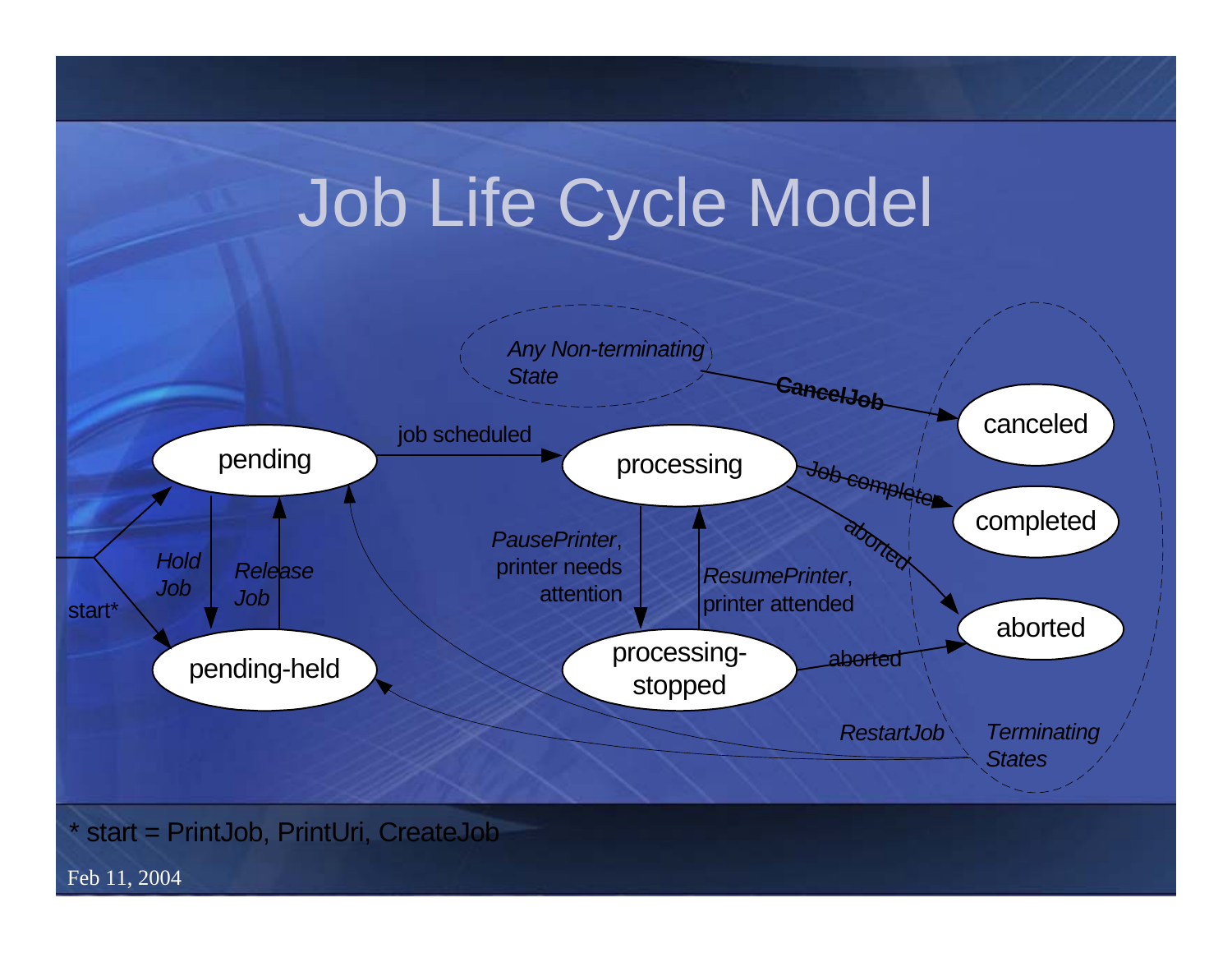## Job Life Cycle Model



\* start = PrintJob, PrintUri, CreateJob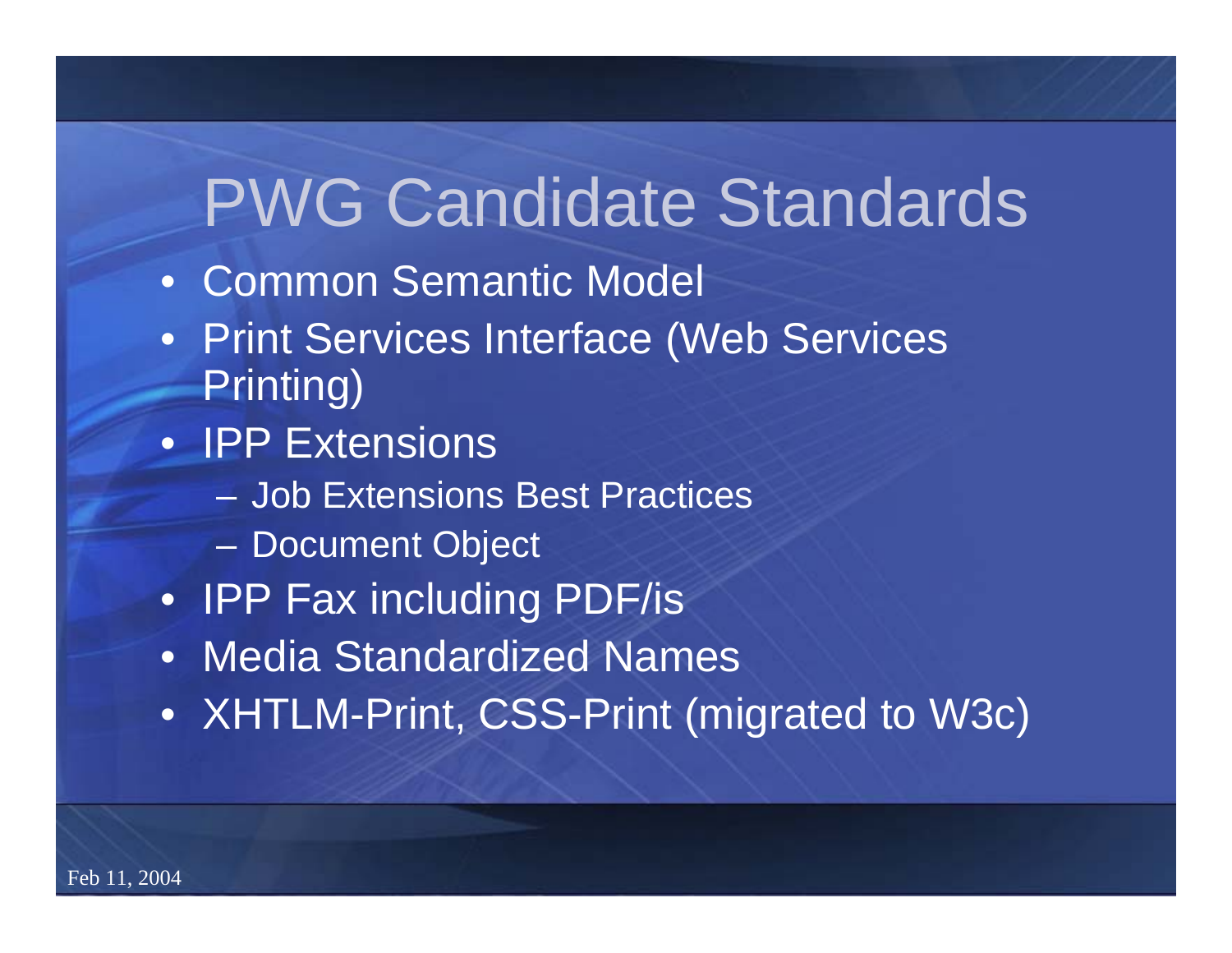### PWG Candidate Standards

- Common Semantic Model
- Print Services Interface (Web Services Printing)
- IPP Extensions
	- Job Extensions Best Practices
	- Document Object
- IPP Fax including PDF/is
- Media Standardized Names
- XHTLM-Print, CSS-Print (migrated to W3c)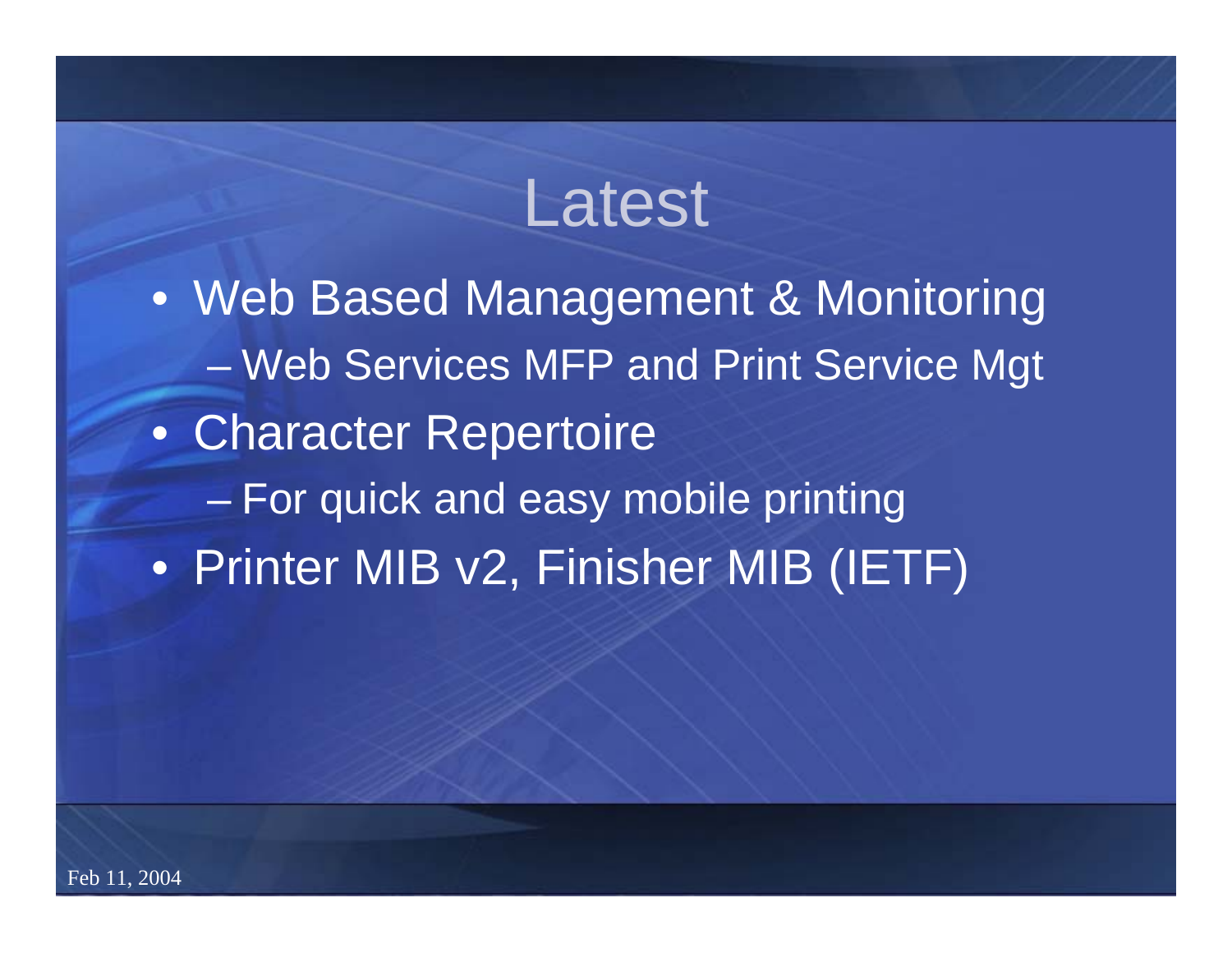### Latest

• Web Based Management & Monitoring – Web Services MFP and Print Service Mgt • Character Repertoire en al control de la control de – For quick and easy mobile printing • Printer MIB v2, Finisher MIB (IETF)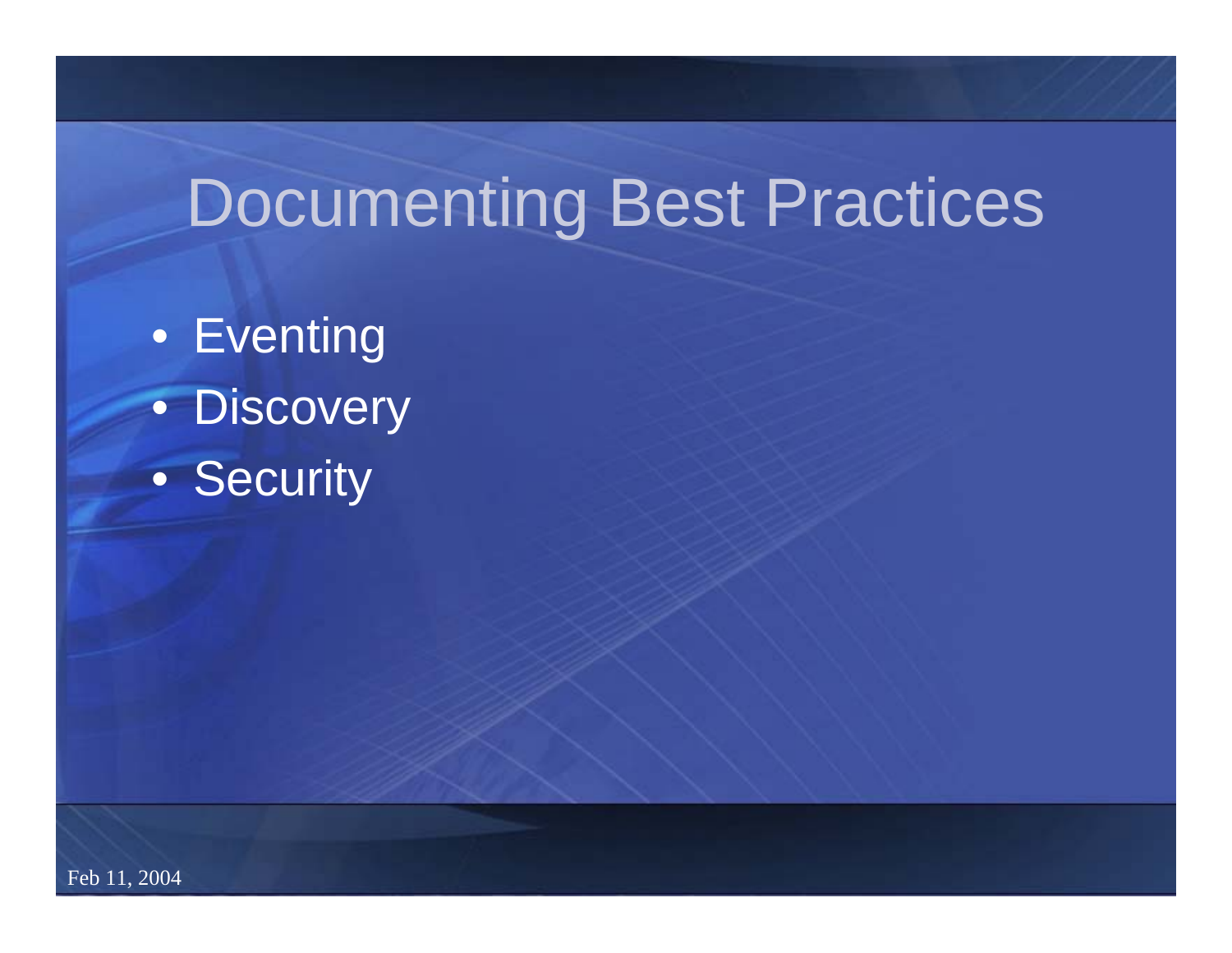### Documenting Best Practices

- Eventing • Discovery
- Security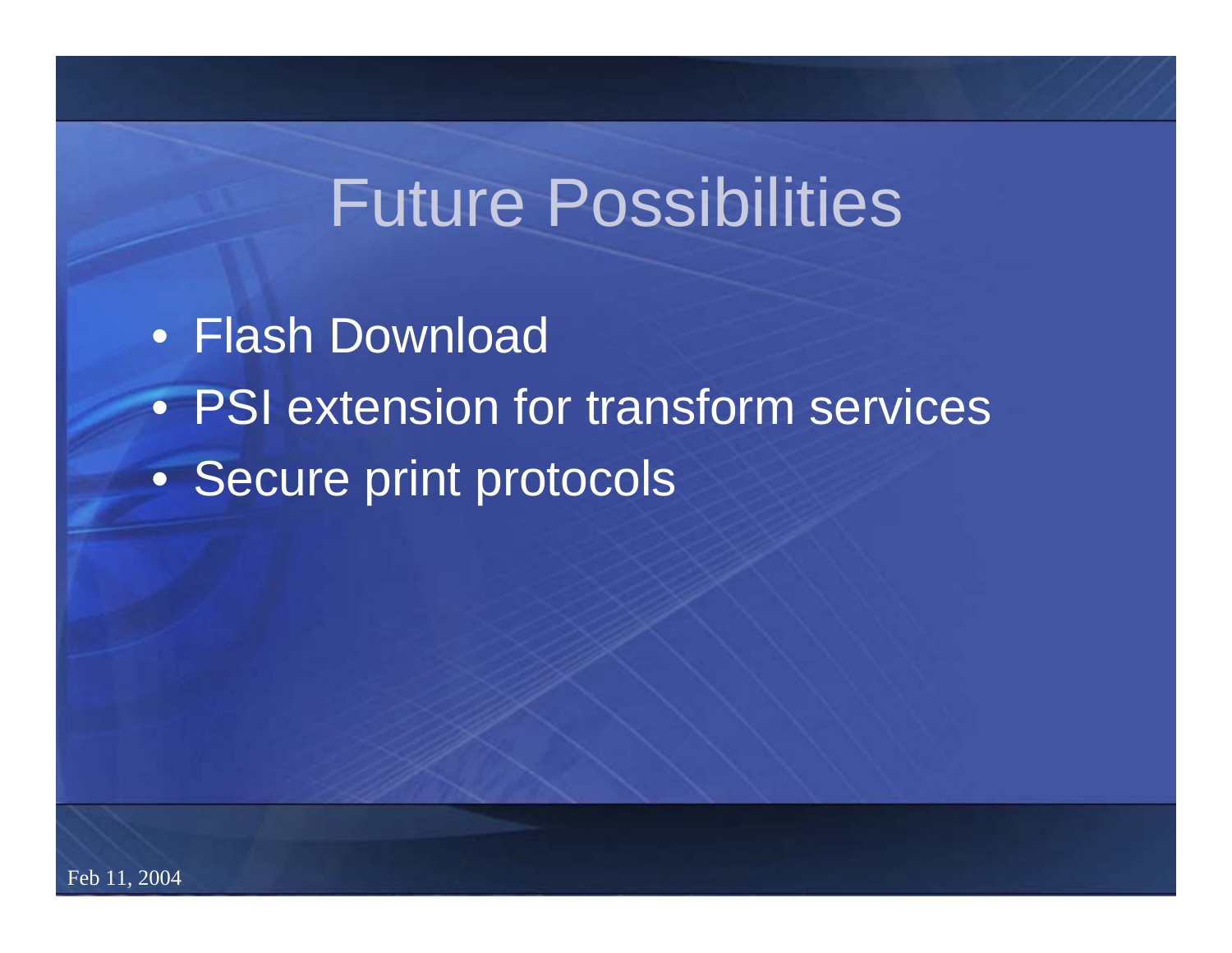### Future Possibilities

- Flash Download
- PSI extension for transform services
- Secure print protocols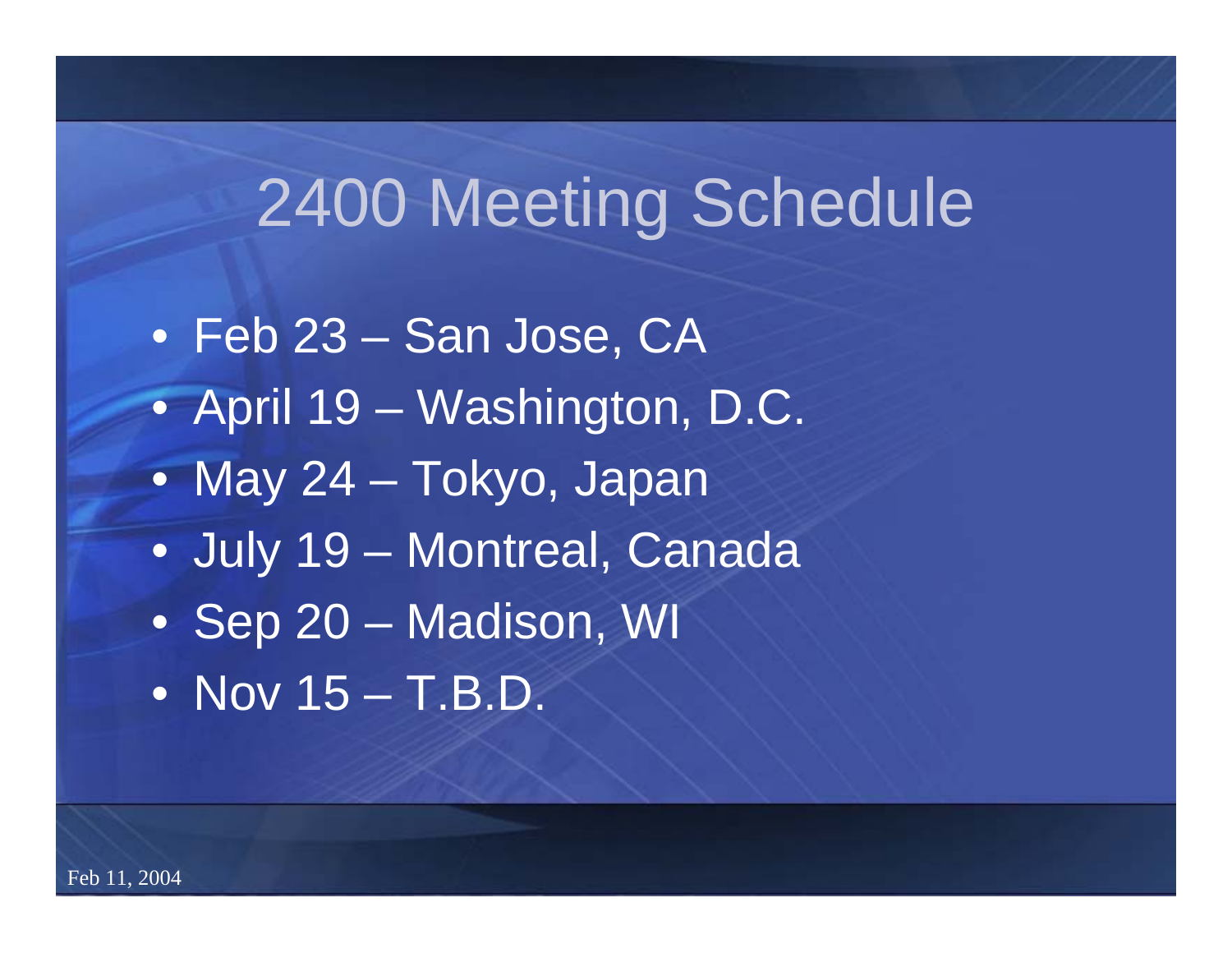### 2400 Meeting Schedule

- Feb 23 San Jose, CA
- April 19 Washington, D.C.
- May 24 Tokyo, Japan
- July 19 Montreal, Canada
- Sep 20 Madison, WI
- Nov 15 T.B.D.